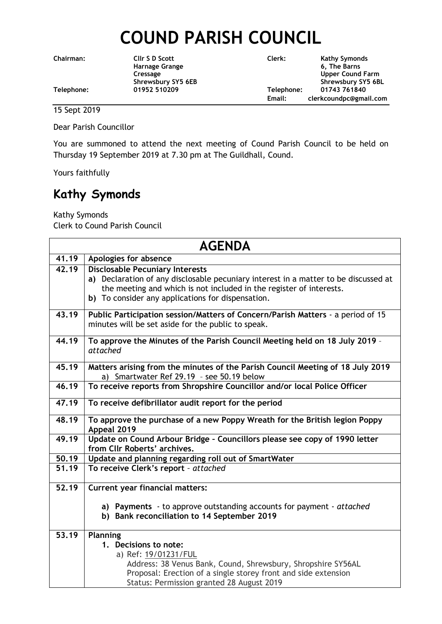## **COUND PARISH COUNCIL**

**Chairman: Cllr S D Scott Clerk: Kathy Symonds Harnage Grange 6, The Barns Cressage Cressage Cressage Cressage Cressage Cressage Cressage Cressage Cressage Cressage Cressage Cressage Cressage Cressage Cressage Cressage Cressage Cressage Cressage Cressage Cressage Cressage Cressage Cressage Cress** Shrewsbury SY5 6EB<br>
01952 510209<br>
Telephone: 01743 761840 **Telephone: 01952 510209 Telephone: 01743 761840 Email: clerkcoundpc@gmail.com**

15 Sept 2019

Dear Parish Councillor

You are summoned to attend the next meeting of Cound Parish Council to be held on Thursday 19 September 2019 at 7.30 pm at The Guildhall, Cound.

Yours faithfully

## **Kathy Symonds**

Kathy Symonds Clerk to Cound Parish Council

| <b>AGENDA</b>      |                                                                                           |  |
|--------------------|-------------------------------------------------------------------------------------------|--|
| 41.19              | Apologies for absence                                                                     |  |
| 42.19              | <b>Disclosable Pecuniary Interests</b>                                                    |  |
|                    | a) Declaration of any disclosable pecuniary interest in a matter to be discussed at       |  |
|                    | the meeting and which is not included in the register of interests.                       |  |
|                    | b) To consider any applications for dispensation.                                         |  |
| 43.19              | Public Participation session/Matters of Concern/Parish Matters - a period of 15           |  |
|                    | minutes will be set aside for the public to speak.                                        |  |
| 44.19              | To approve the Minutes of the Parish Council Meeting held on 18 July 2019 -<br>attached   |  |
| 45.19              | Matters arising from the minutes of the Parish Council Meeting of 18 July 2019            |  |
|                    | a) Smartwater Ref 29.19 - see 50.19 below                                                 |  |
| $\overline{46.19}$ | To receive reports from Shropshire Councillor and/or local Police Officer                 |  |
| 47.19              | To receive defibrillator audit report for the period                                      |  |
| 48.19              | To approve the purchase of a new Poppy Wreath for the British legion Poppy<br>Appeal 2019 |  |
| $\overline{49.19}$ | Update on Cound Arbour Bridge - Councillors please see copy of 1990 letter                |  |
|                    | from Cllr Roberts' archives.                                                              |  |
| 50.19              | Update and planning regarding roll out of SmartWater                                      |  |
| 51.19              | To receive Clerk's report - attached                                                      |  |
| 52.19              | <b>Current year financial matters:</b>                                                    |  |
|                    | a) Payments - to approve outstanding accounts for payment - attached                      |  |
|                    | b) Bank reconciliation to 14 September 2019                                               |  |
| 53.19              | Planning                                                                                  |  |
|                    | 1. Decisions to note:                                                                     |  |
|                    | a) Ref: 19/01231/FUL                                                                      |  |
|                    | Address: 38 Venus Bank, Cound, Shrewsbury, Shropshire SY56AL                              |  |
|                    | Proposal: Erection of a single storey front and side extension                            |  |
|                    | Status: Permission granted 28 August 2019                                                 |  |